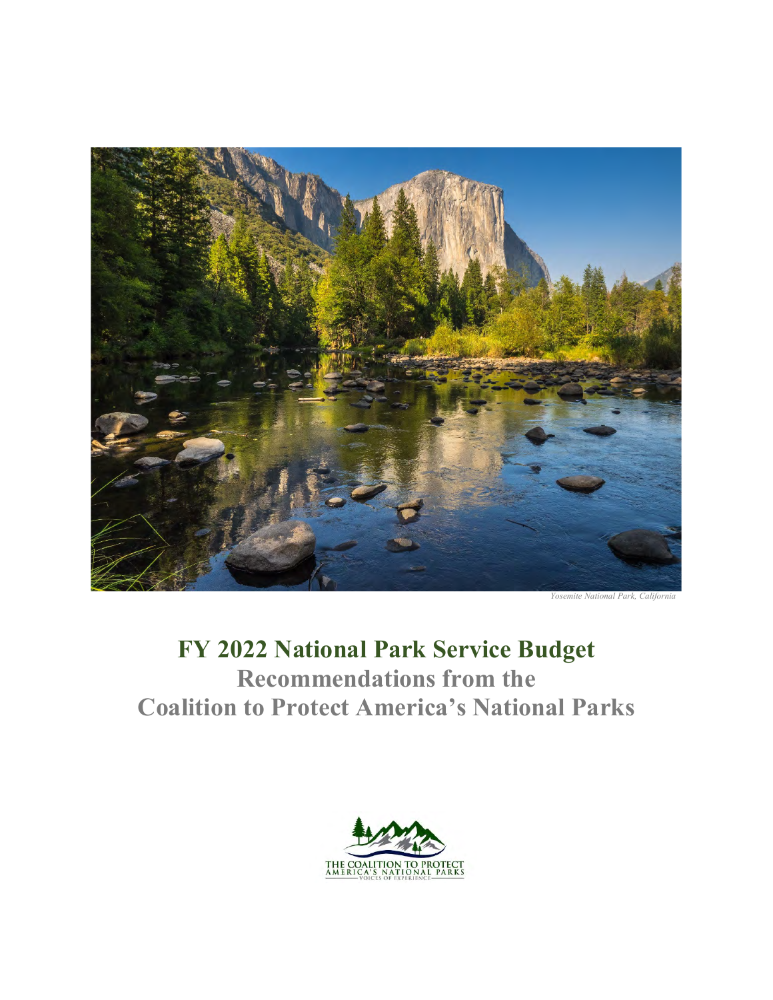

*Yosemite National Park, California* 

# **FY 2022 National Park Service Budget Recommendations from the Coalition to Protect America's National Parks**

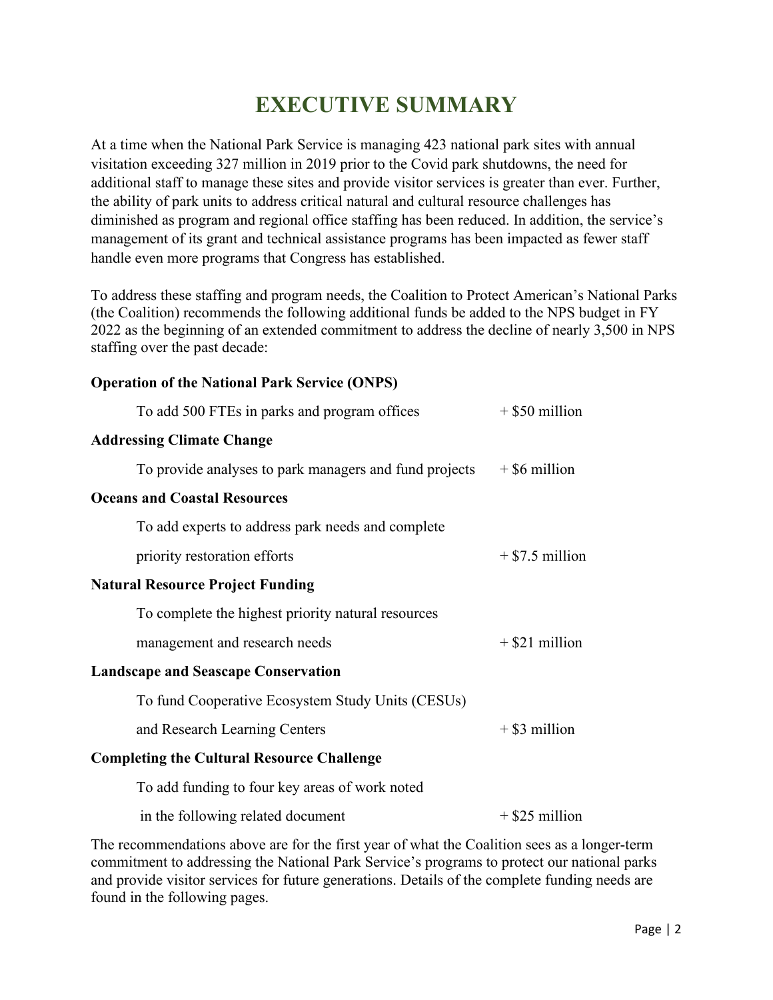## **EXECUTIVE SUMMARY**

At a time when the National Park Service is managing 423 national park sites with annual visitation exceeding 327 million in 2019 prior to the Covid park shutdowns, the need for additional staff to manage these sites and provide visitor services is greater than ever. Further, the ability of park units to address critical natural and cultural resource challenges has diminished as program and regional office staffing has been reduced. In addition, the service's management of its grant and technical assistance programs has been impacted as fewer staff handle even more programs that Congress has established.

To address these staffing and program needs, the Coalition to Protect American's National Parks (the Coalition) recommends the following additional funds be added to the NPS budget in FY 2022 as the beginning of an extended commitment to address the decline of nearly 3,500 in NPS staffing over the past decade:

#### **Operation of the National Park Service (ONPS)**

| To add 500 FTEs in parks and program offices           | $+$ \$50 million  |
|--------------------------------------------------------|-------------------|
| <b>Addressing Climate Change</b>                       |                   |
| To provide analyses to park managers and fund projects | $+$ \$6 million   |
| <b>Oceans and Coastal Resources</b>                    |                   |
| To add experts to address park needs and complete      |                   |
| priority restoration efforts                           | $+$ \$7.5 million |
| <b>Natural Resource Project Funding</b>                |                   |
| To complete the highest priority natural resources     |                   |
| management and research needs                          | $+$ \$21 million  |
| <b>Landscape and Seascape Conservation</b>             |                   |
| To fund Cooperative Ecosystem Study Units (CESUs)      |                   |
| and Research Learning Centers                          | $+$ \$3 million   |
| <b>Completing the Cultural Resource Challenge</b>      |                   |
| To add funding to four key areas of work noted         |                   |
| in the following related document                      | $+$ \$25 million  |
|                                                        |                   |

The recommendations above are for the first year of what the Coalition sees as a longer-term commitment to addressing the National Park Service's programs to protect our national parks and provide visitor services for future generations. Details of the complete funding needs are found in the following pages.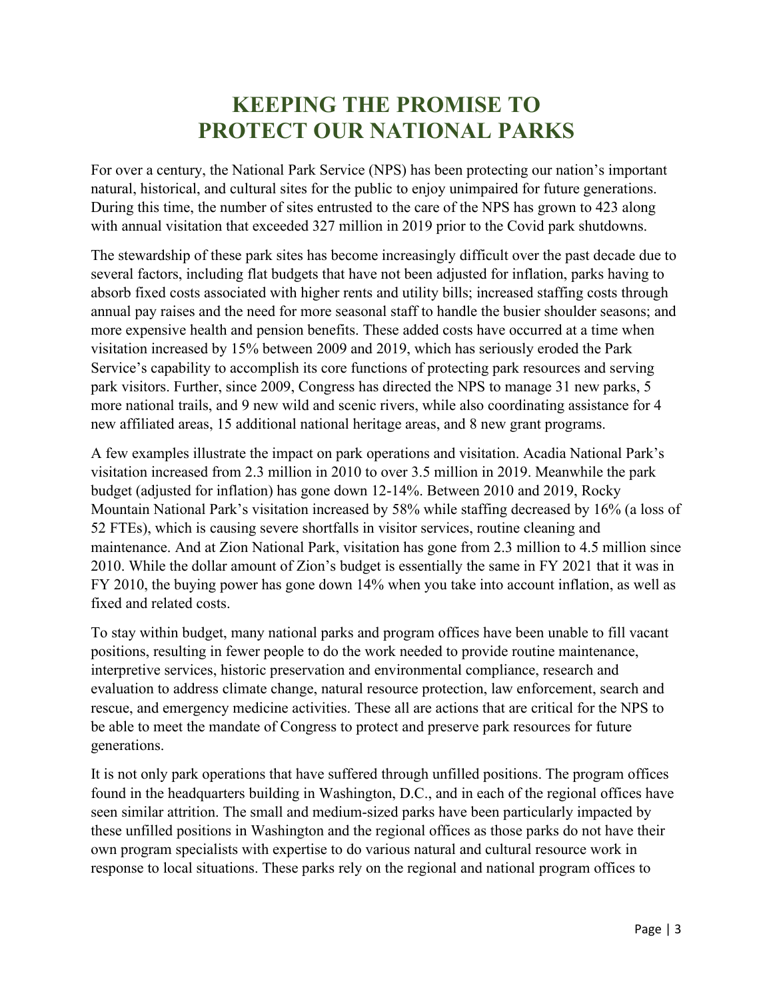## **KEEPING THE PROMISE TO PROTECT OUR NATIONAL PARKS**

For over a century, the National Park Service (NPS) has been protecting our nation's important natural, historical, and cultural sites for the public to enjoy unimpaired for future generations. During this time, the number of sites entrusted to the care of the NPS has grown to 423 along with annual visitation that exceeded 327 million in 2019 prior to the Covid park shutdowns.

The stewardship of these park sites has become increasingly difficult over the past decade due to several factors, including flat budgets that have not been adjusted for inflation, parks having to absorb fixed costs associated with higher rents and utility bills; increased staffing costs through annual pay raises and the need for more seasonal staff to handle the busier shoulder seasons; and more expensive health and pension benefits. These added costs have occurred at a time when visitation increased by 15% between 2009 and 2019, which has seriously eroded the Park Service's capability to accomplish its core functions of protecting park resources and serving park visitors. Further, since 2009, Congress has directed the NPS to manage 31 new parks, 5 more national trails, and 9 new wild and scenic rivers, while also coordinating assistance for 4 new affiliated areas, 15 additional national heritage areas, and 8 new grant programs.

A few examples illustrate the impact on park operations and visitation. Acadia National Park's visitation increased from 2.3 million in 2010 to over 3.5 million in 2019. Meanwhile the park budget (adjusted for inflation) has gone down 12-14%. Between 2010 and 2019, Rocky Mountain National Park's visitation increased by 58% while staffing decreased by 16% (a loss of 52 FTEs), which is causing severe shortfalls in visitor services, routine cleaning and maintenance. And at Zion National Park, visitation has gone from 2.3 million to 4.5 million since 2010. While the dollar amount of Zion's budget is essentially the same in FY 2021 that it was in FY 2010, the buying power has gone down 14% when you take into account inflation, as well as fixed and related costs.

To stay within budget, many national parks and program offices have been unable to fill vacant positions, resulting in fewer people to do the work needed to provide routine maintenance, interpretive services, historic preservation and environmental compliance, research and evaluation to address climate change, natural resource protection, law enforcement, search and rescue, and emergency medicine activities. These all are actions that are critical for the NPS to be able to meet the mandate of Congress to protect and preserve park resources for future generations.

It is not only park operations that have suffered through unfilled positions. The program offices found in the headquarters building in Washington, D.C., and in each of the regional offices have seen similar attrition. The small and medium-sized parks have been particularly impacted by these unfilled positions in Washington and the regional offices as those parks do not have their own program specialists with expertise to do various natural and cultural resource work in response to local situations. These parks rely on the regional and national program offices to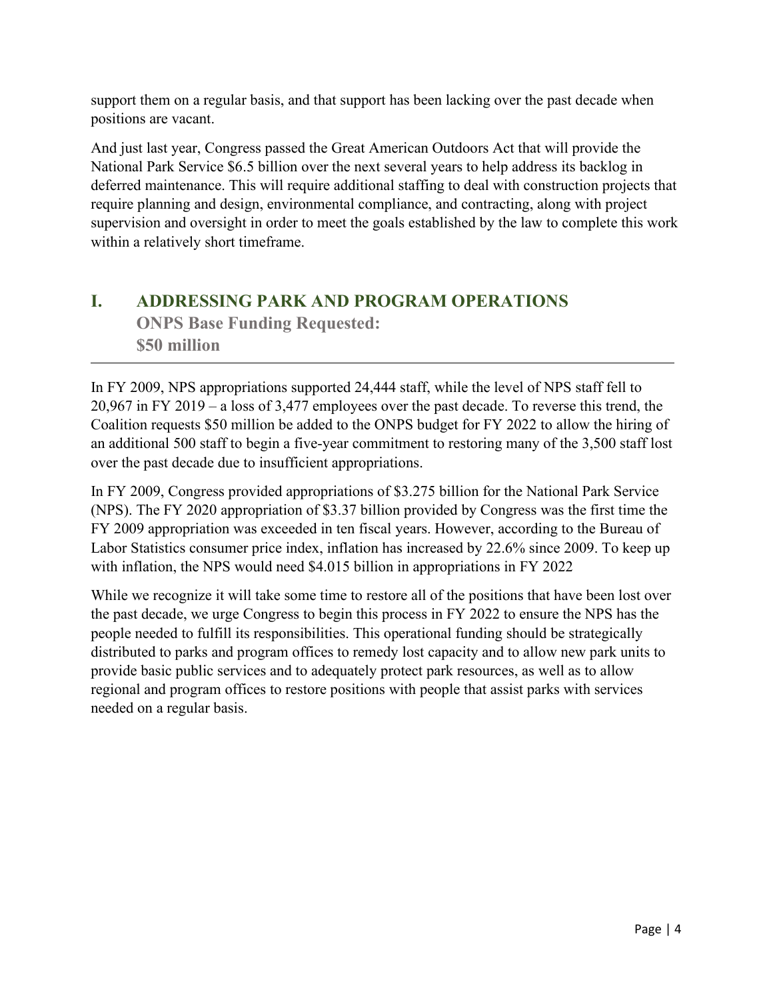support them on a regular basis, and that support has been lacking over the past decade when positions are vacant.

And just last year, Congress passed the Great American Outdoors Act that will provide the National Park Service \$6.5 billion over the next several years to help address its backlog in deferred maintenance. This will require additional staffing to deal with construction projects that require planning and design, environmental compliance, and contracting, along with project supervision and oversight in order to meet the goals established by the law to complete this work within a relatively short timeframe.

#### **I. ADDRESSING PARK AND PROGRAM OPERATIONS ONPS Base Funding Requested: \$50 million**

In FY 2009, NPS appropriations supported 24,444 staff, while the level of NPS staff fell to 20,967 in FY 2019 – a loss of 3,477 employees over the past decade. To reverse this trend, the Coalition requests \$50 million be added to the ONPS budget for FY 2022 to allow the hiring of an additional 500 staff to begin a five-year commitment to restoring many of the 3,500 staff lost over the past decade due to insufficient appropriations.

In FY 2009, Congress provided appropriations of \$3.275 billion for the National Park Service (NPS). The FY 2020 appropriation of \$3.37 billion provided by Congress was the first time the FY 2009 appropriation was exceeded in ten fiscal years. However, according to the Bureau of Labor Statistics consumer price index, inflation has increased by 22.6% since 2009. To keep up with inflation, the NPS would need \$4.015 billion in appropriations in FY 2022

While we recognize it will take some time to restore all of the positions that have been lost over the past decade, we urge Congress to begin this process in FY 2022 to ensure the NPS has the people needed to fulfill its responsibilities. This operational funding should be strategically distributed to parks and program offices to remedy lost capacity and to allow new park units to provide basic public services and to adequately protect park resources, as well as to allow regional and program offices to restore positions with people that assist parks with services needed on a regular basis.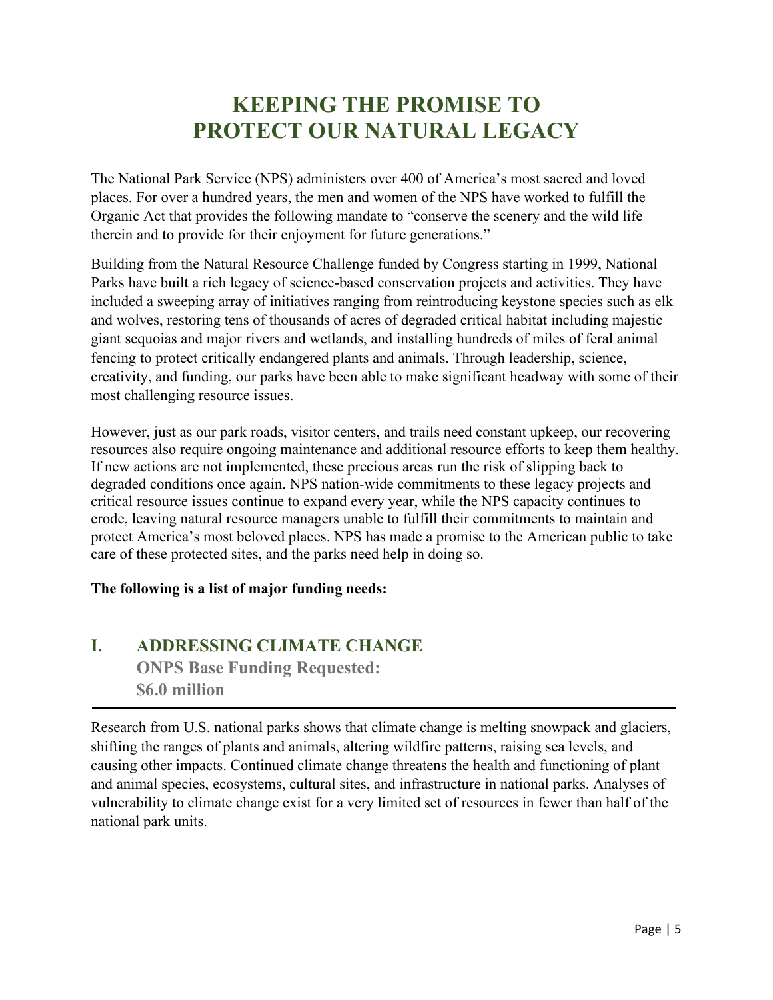## **KEEPING THE PROMISE TO PROTECT OUR NATURAL LEGACY**

The National Park Service (NPS) administers over 400 of America's most sacred and loved places. For over a hundred years, the men and women of the NPS have worked to fulfill the Organic Act that provides the following mandate to "conserve the scenery and the wild life therein and to provide for their enjoyment for future generations."

Building from the Natural Resource Challenge funded by Congress starting in 1999, National Parks have built a rich legacy of science-based conservation projects and activities. They have included a sweeping array of initiatives ranging from reintroducing keystone species such as elk and wolves, restoring tens of thousands of acres of degraded critical habitat including majestic giant sequoias and major rivers and wetlands, and installing hundreds of miles of feral animal fencing to protect critically endangered plants and animals. Through leadership, science, creativity, and funding, our parks have been able to make significant headway with some of their most challenging resource issues.

However, just as our park roads, visitor centers, and trails need constant upkeep, our recovering resources also require ongoing maintenance and additional resource efforts to keep them healthy. If new actions are not implemented, these precious areas run the risk of slipping back to degraded conditions once again. NPS nation-wide commitments to these legacy projects and critical resource issues continue to expand every year, while the NPS capacity continues to erode, leaving natural resource managers unable to fulfill their commitments to maintain and protect America's most beloved places. NPS has made a promise to the American public to take care of these protected sites, and the parks need help in doing so.

#### **The following is a list of major funding needs:**

#### **I. ADDRESSING CLIMATE CHANGE ONPS Base Funding Requested: \$6.0 million**

Research from U.S. national parks shows that climate change is melting snowpack and glaciers, shifting the ranges of plants and animals, altering wildfire patterns, raising sea levels, and causing other impacts. Continued climate change threatens the health and functioning of plant and animal species, ecosystems, cultural sites, and infrastructure in national parks. Analyses of vulnerability to climate change exist for a very limited set of resources in fewer than half of the national park units.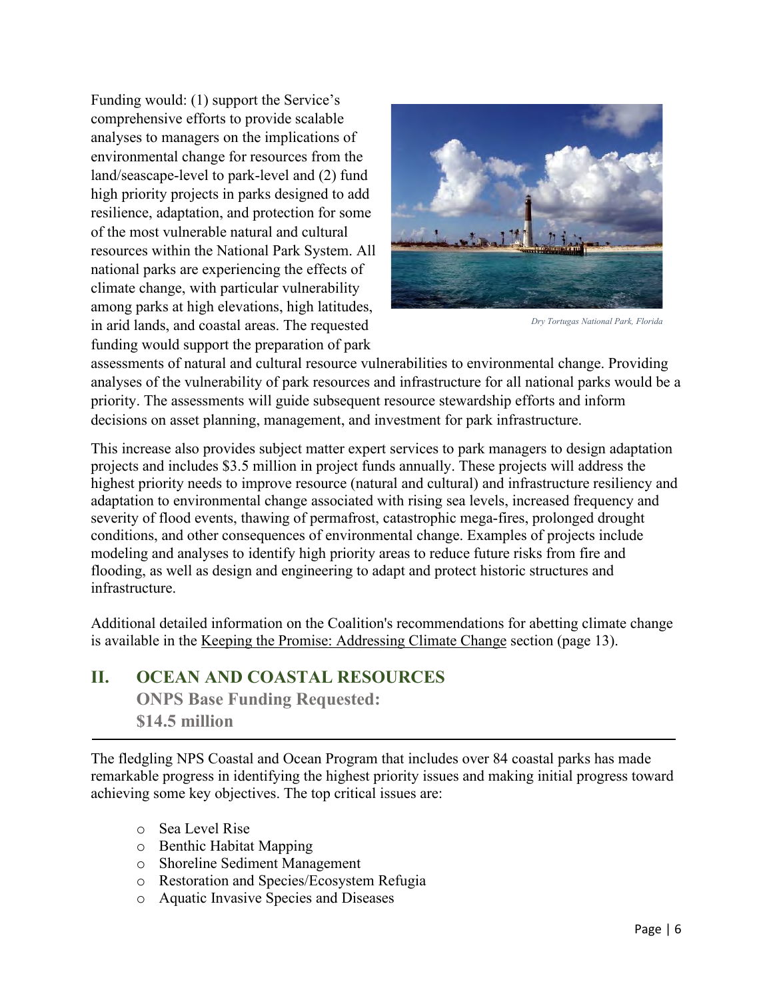Funding would: (1) support the Service's comprehensive efforts to provide scalable analyses to managers on the implications of environmental change for resources from the land/seascape-level to park-level and (2) fund high priority projects in parks designed to add resilience, adaptation, and protection for some of the most vulnerable natural and cultural resources within the National Park System. All national parks are experiencing the effects of climate change, with particular vulnerability among parks at high elevations, high latitudes, in arid lands, and coastal areas. The requested funding would support the preparation of park



*Dry Tortugas National Park, Florida* 

assessments of natural and cultural resource vulnerabilities to environmental change. Providing analyses of the vulnerability of park resources and infrastructure for all national parks would be a priority. The assessments will guide subsequent resource stewardship efforts and inform decisions on asset planning, management, and investment for park infrastructure.

This increase also provides subject matter expert services to park managers to design adaptation projects and includes \$3.5 million in project funds annually. These projects will address the highest priority needs to improve resource (natural and cultural) and infrastructure resiliency and adaptation to environmental change associated with rising sea levels, increased frequency and severity of flood events, thawing of permafrost, catastrophic mega-fires, prolonged drought conditions, and other consequences of environmental change. Examples of projects include modeling and analyses to identify high priority areas to reduce future risks from fire and flooding, as well as design and engineering to adapt and protect historic structures and infrastructure.

Additional detailed information on the Coalition's recommendations for abetting climate change is available in the Keeping the Promise: Addressing Climate Change section (page 13).

#### **II. OCEAN AND COASTAL RESOURCES ONPS Base Funding Requested: \$14.5 million**

The fledgling NPS Coastal and Ocean Program that includes over 84 coastal parks has made remarkable progress in identifying the highest priority issues and making initial progress toward achieving some key objectives. The top critical issues are:

- o Sea Level Rise
- o Benthic Habitat Mapping
- o Shoreline Sediment Management
- o Restoration and Species/Ecosystem Refugia
- o Aquatic Invasive Species and Diseases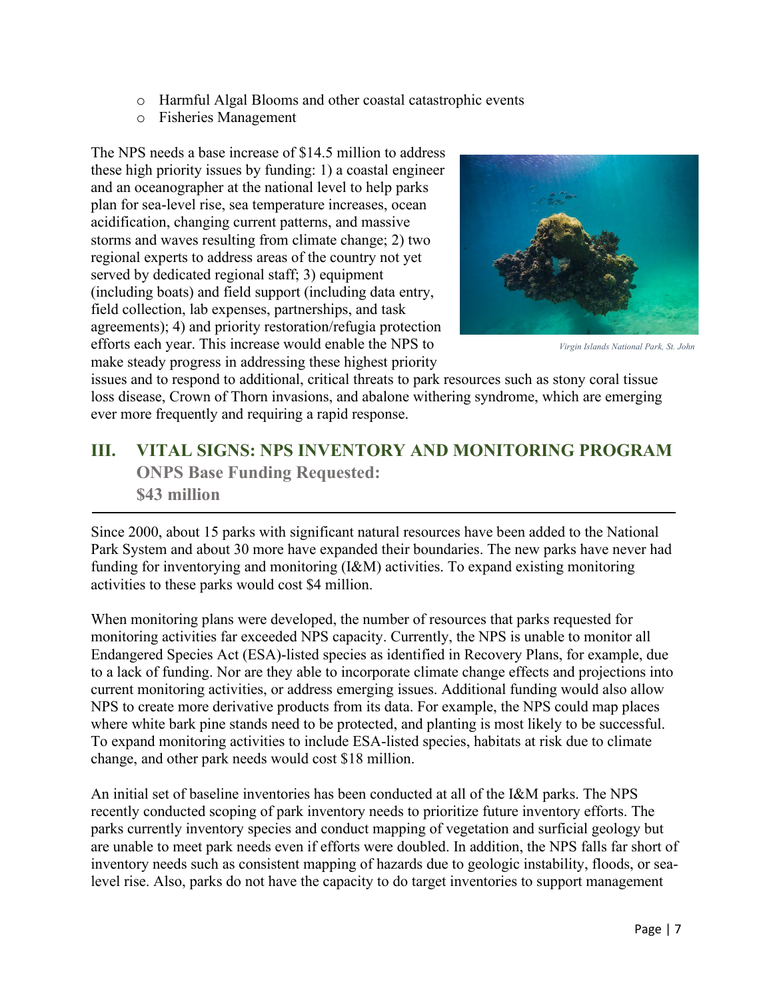- o Harmful Algal Blooms and other coastal catastrophic events
- o Fisheries Management

The NPS needs a base increase of \$14.5 million to address these high priority issues by funding: 1) a coastal engineer and an oceanographer at the national level to help parks plan for sea-level rise, sea temperature increases, ocean acidification, changing current patterns, and massive storms and waves resulting from climate change; 2) two regional experts to address areas of the country not yet served by dedicated regional staff; 3) equipment (including boats) and field support (including data entry, field collection, lab expenses, partnerships, and task agreements); 4) and priority restoration/refugia protection efforts each year. This increase would enable the NPS to make steady progress in addressing these highest priority



*Virgin Islands National Park, St. John* 

issues and to respond to additional, critical threats to park resources such as stony coral tissue loss disease, Crown of Thorn invasions, and abalone withering syndrome, which are emerging ever more frequently and requiring a rapid response.

#### **III. VITAL SIGNS: NPS INVENTORY AND MONITORING PROGRAM ONPS Base Funding Requested: \$43 million**

Since 2000, about 15 parks with significant natural resources have been added to the National Park System and about 30 more have expanded their boundaries. The new parks have never had funding for inventorying and monitoring (I&M) activities. To expand existing monitoring activities to these parks would cost \$4 million.

When monitoring plans were developed, the number of resources that parks requested for monitoring activities far exceeded NPS capacity. Currently, the NPS is unable to monitor all Endangered Species Act (ESA)-listed species as identified in Recovery Plans, for example, due to a lack of funding. Nor are they able to incorporate climate change effects and projections into current monitoring activities, or address emerging issues. Additional funding would also allow NPS to create more derivative products from its data. For example, the NPS could map places where white bark pine stands need to be protected, and planting is most likely to be successful. To expand monitoring activities to include ESA-listed species, habitats at risk due to climate change, and other park needs would cost \$18 million.

An initial set of baseline inventories has been conducted at all of the I&M parks. The NPS recently conducted scoping of park inventory needs to prioritize future inventory efforts. The parks currently inventory species and conduct mapping of vegetation and surficial geology but are unable to meet park needs even if efforts were doubled. In addition, the NPS falls far short of inventory needs such as consistent mapping of hazards due to geologic instability, floods, or sealevel rise. Also, parks do not have the capacity to do target inventories to support management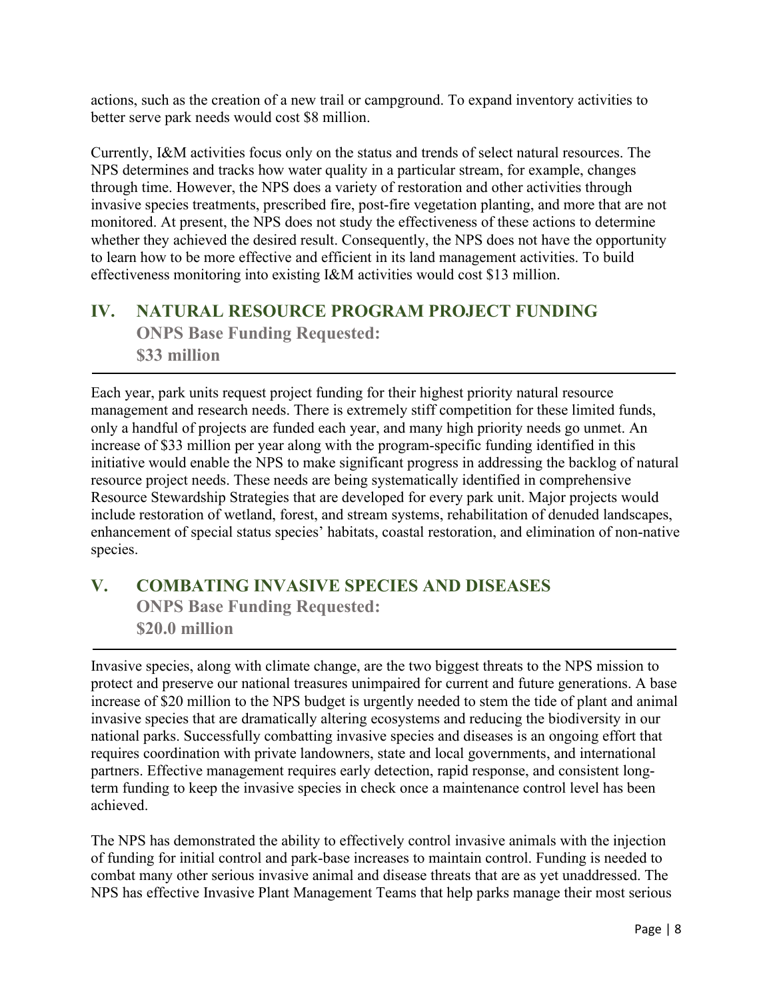actions, such as the creation of a new trail or campground. To expand inventory activities to better serve park needs would cost \$8 million.

Currently, I&M activities focus only on the status and trends of select natural resources. The NPS determines and tracks how water quality in a particular stream, for example, changes through time. However, the NPS does a variety of restoration and other activities through invasive species treatments, prescribed fire, post-fire vegetation planting, and more that are not monitored. At present, the NPS does not study the effectiveness of these actions to determine whether they achieved the desired result. Consequently, the NPS does not have the opportunity to learn how to be more effective and efficient in its land management activities. To build effectiveness monitoring into existing I&M activities would cost \$13 million.

# **IV. NATURAL RESOURCE PROGRAM PROJECT FUNDING**

**ONPS Base Funding Requested: \$33 million**

Each year, park units request project funding for their highest priority natural resource management and research needs. There is extremely stiff competition for these limited funds, only a handful of projects are funded each year, and many high priority needs go unmet. An increase of \$33 million per year along with the program-specific funding identified in this initiative would enable the NPS to make significant progress in addressing the backlog of natural resource project needs. These needs are being systematically identified in comprehensive Resource Stewardship Strategies that are developed for every park unit. Major projects would include restoration of wetland, forest, and stream systems, rehabilitation of denuded landscapes, enhancement of special status species' habitats, coastal restoration, and elimination of non-native species.

#### **V. COMBATING INVASIVE SPECIES AND DISEASES ONPS Base Funding Requested: \$20.0 million**

Invasive species, along with climate change, are the two biggest threats to the NPS mission to protect and preserve our national treasures unimpaired for current and future generations. A base increase of \$20 million to the NPS budget is urgently needed to stem the tide of plant and animal invasive species that are dramatically altering ecosystems and reducing the biodiversity in our national parks. Successfully combatting invasive species and diseases is an ongoing effort that requires coordination with private landowners, state and local governments, and international partners. Effective management requires early detection, rapid response, and consistent longterm funding to keep the invasive species in check once a maintenance control level has been achieved.

The NPS has demonstrated the ability to effectively control invasive animals with the injection of funding for initial control and park-base increases to maintain control. Funding is needed to combat many other serious invasive animal and disease threats that are as yet unaddressed. The NPS has effective Invasive Plant Management Teams that help parks manage their most serious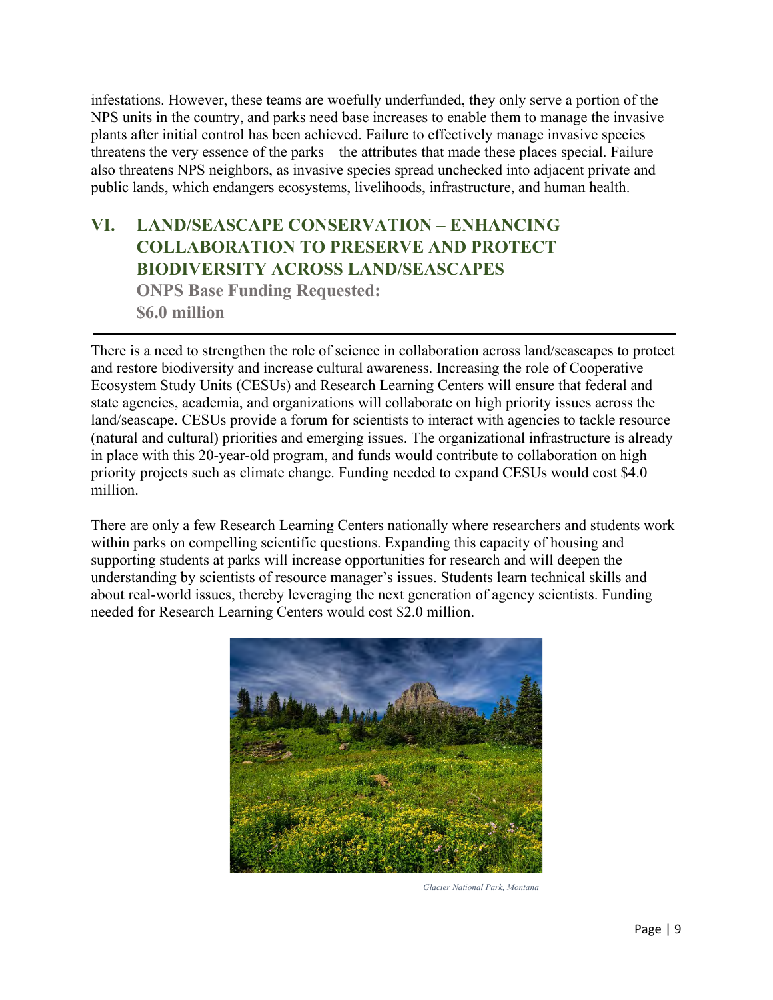infestations. However, these teams are woefully underfunded, they only serve a portion of the NPS units in the country, and parks need base increases to enable them to manage the invasive plants after initial control has been achieved. Failure to effectively manage invasive species threatens the very essence of the parks—the attributes that made these places special. Failure also threatens NPS neighbors, as invasive species spread unchecked into adjacent private and public lands, which endangers ecosystems, livelihoods, infrastructure, and human health.

### **VI. LAND/SEASCAPE CONSERVATION – ENHANCING COLLABORATION TO PRESERVE AND PROTECT BIODIVERSITY ACROSS LAND/SEASCAPES ONPS Base Funding Requested:**

**\$6.0 million**

There is a need to strengthen the role of science in collaboration across land/seascapes to protect and restore biodiversity and increase cultural awareness. Increasing the role of Cooperative Ecosystem Study Units (CESUs) and Research Learning Centers will ensure that federal and state agencies, academia, and organizations will collaborate on high priority issues across the land/seascape. CESUs provide a forum for scientists to interact with agencies to tackle resource (natural and cultural) priorities and emerging issues. The organizational infrastructure is already in place with this 20-year-old program, and funds would contribute to collaboration on high priority projects such as climate change. Funding needed to expand CESUs would cost \$4.0 million.

There are only a few Research Learning Centers nationally where researchers and students work within parks on compelling scientific questions. Expanding this capacity of housing and supporting students at parks will increase opportunities for research and will deepen the understanding by scientists of resource manager's issues. Students learn technical skills and about real-world issues, thereby leveraging the next generation of agency scientists. Funding needed for Research Learning Centers would cost \$2.0 million.



*Glacier National Park, Montana*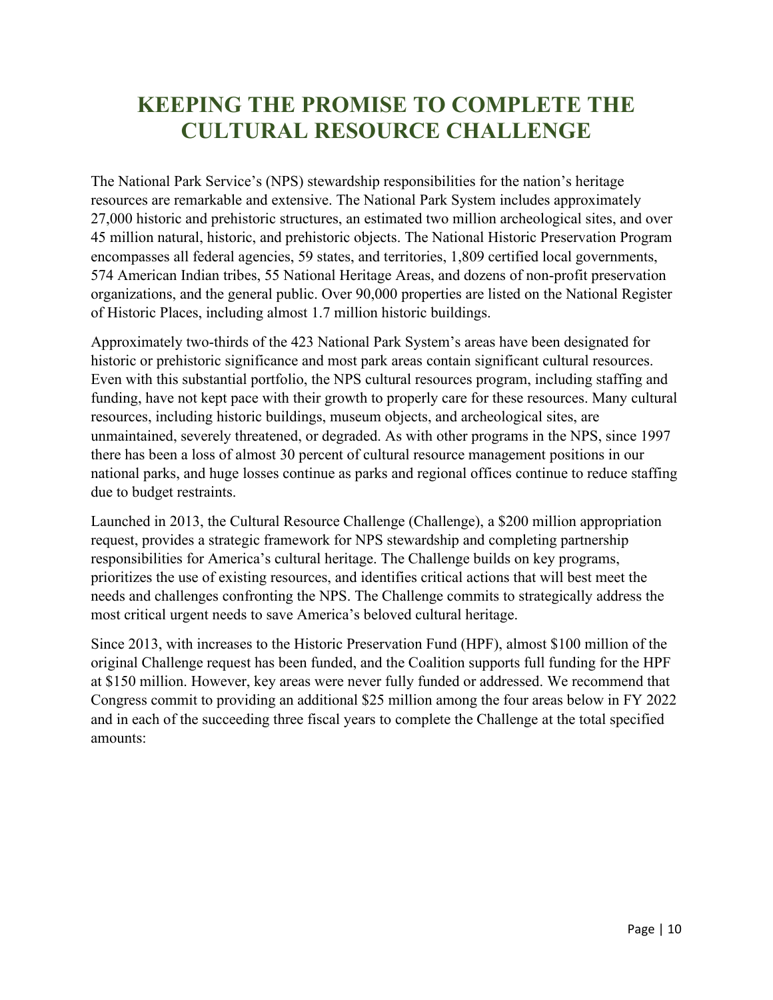## **KEEPING THE PROMISE TO COMPLETE THE CULTURAL RESOURCE CHALLENGE**

The National Park Service's (NPS) stewardship responsibilities for the nation's heritage resources are remarkable and extensive. The National Park System includes approximately 27,000 historic and prehistoric structures, an estimated two million archeological sites, and over 45 million natural, historic, and prehistoric objects. The National Historic Preservation Program encompasses all federal agencies, 59 states, and territories, 1,809 certified local governments, 574 American Indian tribes, 55 National Heritage Areas, and dozens of non-profit preservation organizations, and the general public. Over 90,000 properties are listed on the National Register of Historic Places, including almost 1.7 million historic buildings.

Approximately two-thirds of the 423 National Park System's areas have been designated for historic or prehistoric significance and most park areas contain significant cultural resources. Even with this substantial portfolio, the NPS cultural resources program, including staffing and funding, have not kept pace with their growth to properly care for these resources. Many cultural resources, including historic buildings, museum objects, and archeological sites, are unmaintained, severely threatened, or degraded. As with other programs in the NPS, since 1997 there has been a loss of almost 30 percent of cultural resource management positions in our national parks, and huge losses continue as parks and regional offices continue to reduce staffing due to budget restraints.

Launched in 2013, the Cultural Resource Challenge (Challenge), a \$200 million appropriation request, provides a strategic framework for NPS stewardship and completing partnership responsibilities for America's cultural heritage. The Challenge builds on key programs, prioritizes the use of existing resources, and identifies critical actions that will best meet the needs and challenges confronting the NPS. The Challenge commits to strategically address the most critical urgent needs to save America's beloved cultural heritage.

Since 2013, with increases to the Historic Preservation Fund (HPF), almost \$100 million of the original Challenge request has been funded, and the Coalition supports full funding for the HPF at \$150 million. However, key areas were never fully funded or addressed. We recommend that Congress commit to providing an additional \$25 million among the four areas below in FY 2022 and in each of the succeeding three fiscal years to complete the Challenge at the total specified amounts: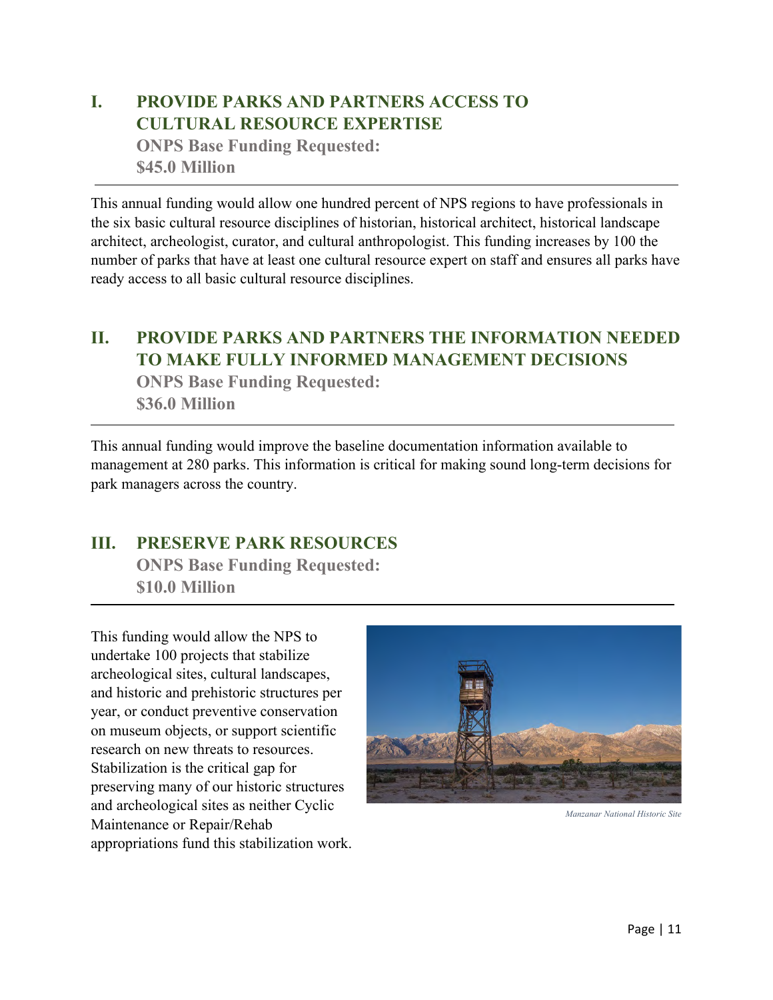## **I. PROVIDE PARKS AND PARTNERS ACCESS TO CULTURAL RESOURCE EXPERTISE**

**ONPS Base Funding Requested: \$45.0 Million**

This annual funding would allow one hundred percent of NPS regions to have professionals in the six basic cultural resource disciplines of historian, historical architect, historical landscape architect, archeologist, curator, and cultural anthropologist. This funding increases by 100 the number of parks that have at least one cultural resource expert on staff and ensures all parks have ready access to all basic cultural resource disciplines.

#### **II. PROVIDE PARKS AND PARTNERS THE INFORMATION NEEDED TO MAKE FULLY INFORMED MANAGEMENT DECISIONS**

**ONPS Base Funding Requested: \$36.0 Million**

This annual funding would improve the baseline documentation information available to management at 280 parks. This information is critical for making sound long-term decisions for park managers across the country.

#### **III. PRESERVE PARK RESOURCES**

**ONPS Base Funding Requested: \$10.0 Million**

This funding would allow the NPS to undertake 100 projects that stabilize archeological sites, cultural landscapes, and historic and prehistoric structures per year, or conduct preventive conservation on museum objects, or support scientific research on new threats to resources. Stabilization is the critical gap for preserving many of our historic structures and archeological sites as neither Cyclic Maintenance or Repair/Rehab appropriations fund this stabilization work.



*Manzanar National Historic Site*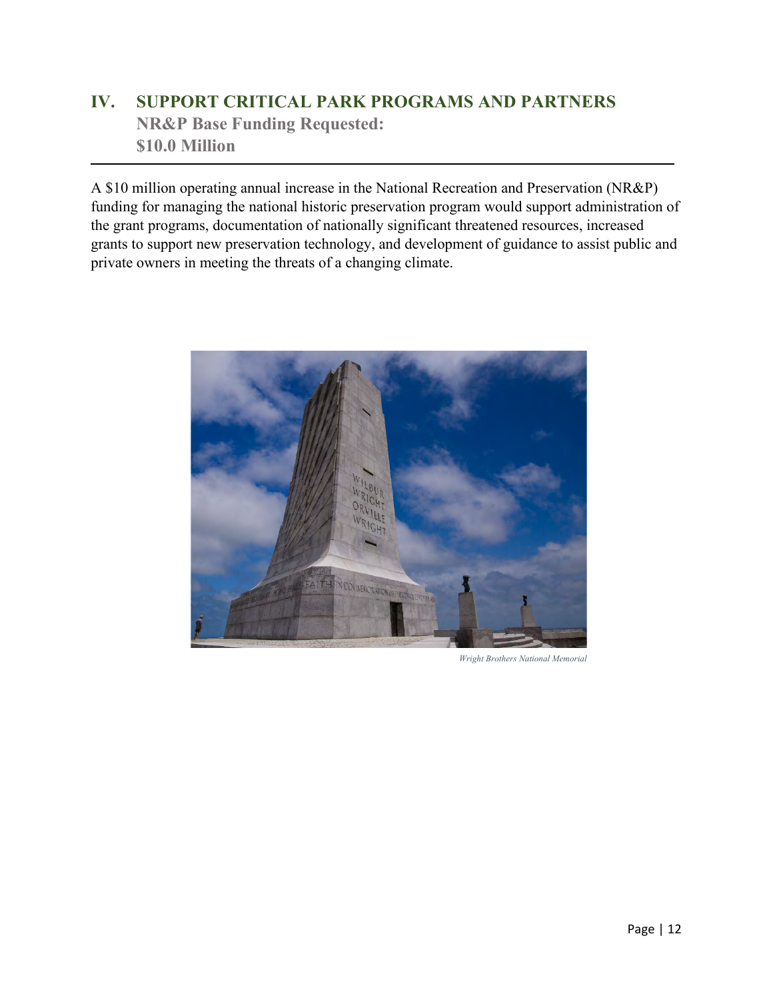### **IV. SUPPORT CRITICAL PARK PROGRAMS AND PARTNERS NR&P Base Funding Requested: \$10.0 Million**

A \$10 million operating annual increase in the National Recreation and Preservation (NR&P) funding for managing the national historic preservation program would support administration of the grant programs, documentation of nationally significant threatened resources, increased grants to support new preservation technology, and development of guidance to assist public and private owners in meeting the threats of a changing climate.



*Wright Brothers National Memorial*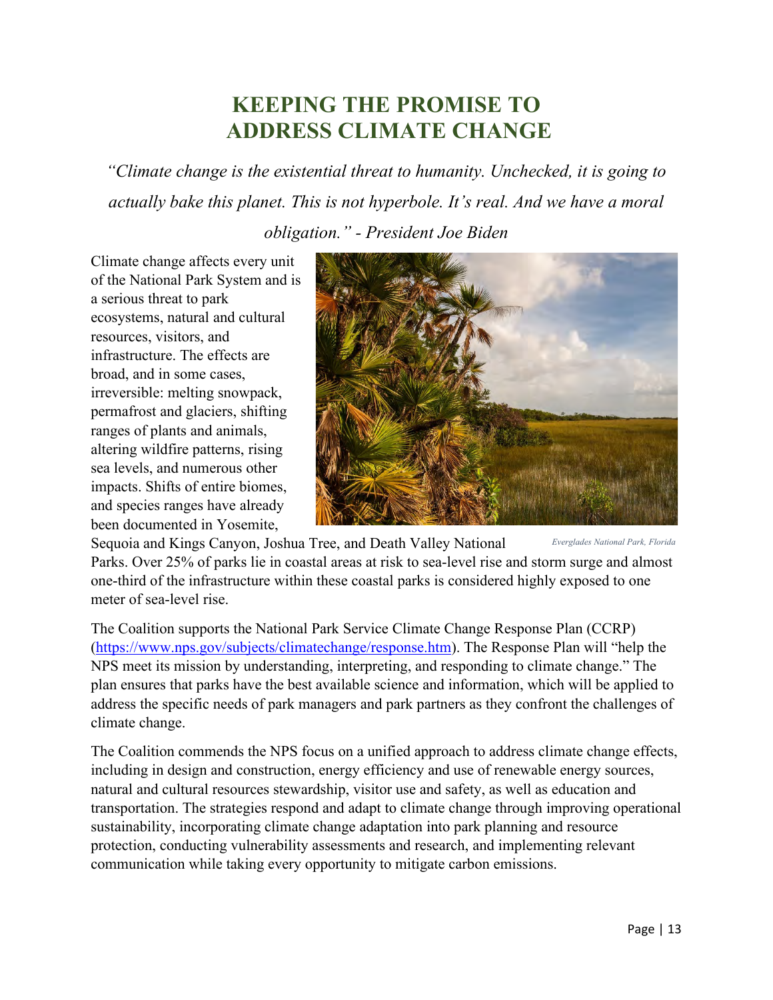## **KEEPING THE PROMISE TO ADDRESS CLIMATE CHANGE**

*"Climate change is the existential threat to humanity. Unchecked, it is going to actually bake this planet. This is not hyperbole. It's real. And we have a moral obligation." - President Joe Biden*

Climate change affects every unit of the National Park System and is a serious threat to park ecosystems, natural and cultural resources, visitors, and infrastructure. The effects are broad, and in some cases, irreversible: melting snowpack, permafrost and glaciers, shifting ranges of plants and animals, altering wildfire patterns, rising sea levels, and numerous other impacts. Shifts of entire biomes, and species ranges have already been documented in Yosemite,



Sequoia and Kings Canyon, Joshua Tree, and Death Valley National Parks. Over 25% of parks lie in coastal areas at risk to sea-level rise and storm surge and almost one-third of the infrastructure within these coastal parks is considered highly exposed to one meter of sea-level rise. *Everglades National Park, Florida* 

The Coalition supports the National Park Service Climate Change Response Plan (CCRP) [\(https://www.nps.gov/subjects/climatechange/response.htm\)](https://www.nps.gov/subjects/climatechange/response.htm). The Response Plan will "help the NPS meet its mission by understanding, interpreting, and responding to climate change." The plan ensures that parks have the best available science and information, which will be applied to address the specific needs of park managers and park partners as they confront the challenges of climate change.

The Coalition commends the NPS focus on a unified approach to address climate change effects, including in design and construction, energy efficiency and use of renewable energy sources, natural and cultural resources stewardship, visitor use and safety, as well as education and transportation. The strategies respond and adapt to climate change through improving operational sustainability, incorporating climate change adaptation into park planning and resource protection, conducting vulnerability assessments and research, and implementing relevant communication while taking every opportunity to mitigate carbon emissions.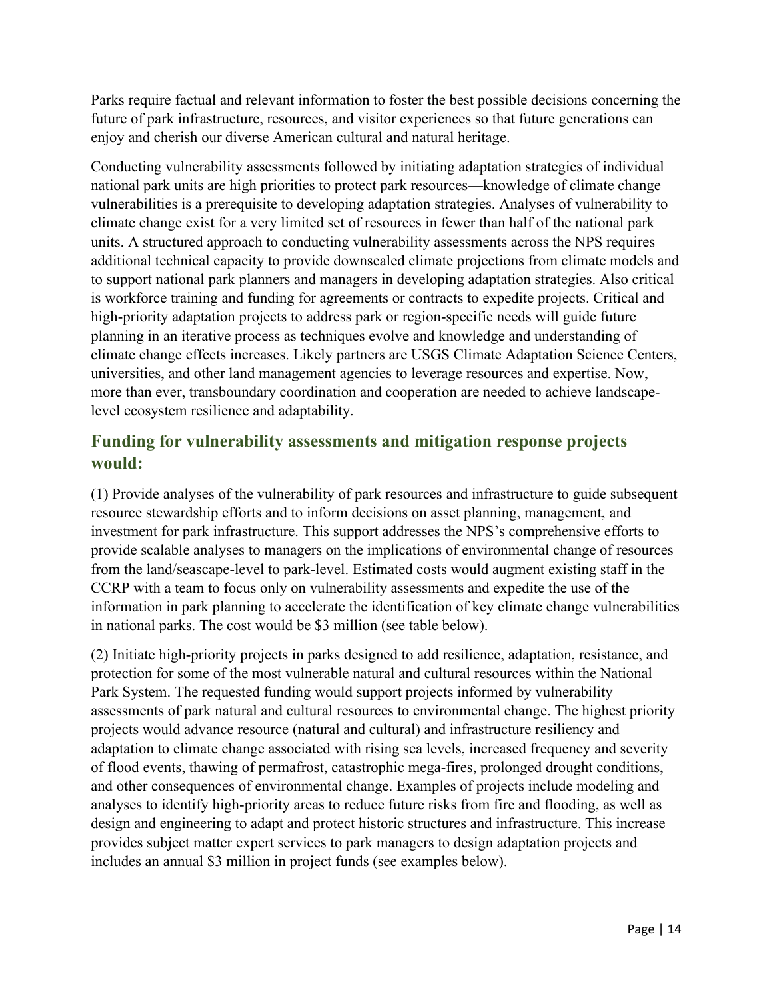Parks require factual and relevant information to foster the best possible decisions concerning the future of park infrastructure, resources, and visitor experiences so that future generations can enjoy and cherish our diverse American cultural and natural heritage.

Conducting vulnerability assessments followed by initiating adaptation strategies of individual national park units are high priorities to protect park resources—knowledge of climate change vulnerabilities is a prerequisite to developing adaptation strategies. Analyses of vulnerability to climate change exist for a very limited set of resources in fewer than half of the national park units. A structured approach to conducting vulnerability assessments across the NPS requires additional technical capacity to provide downscaled climate projections from climate models and to support national park planners and managers in developing adaptation strategies. Also critical is workforce training and funding for agreements or contracts to expedite projects. Critical and high-priority adaptation projects to address park or region-specific needs will guide future planning in an iterative process as techniques evolve and knowledge and understanding of climate change effects increases. Likely partners are USGS Climate Adaptation Science Centers, universities, and other land management agencies to leverage resources and expertise. Now, more than ever, transboundary coordination and cooperation are needed to achieve landscapelevel ecosystem resilience and adaptability.

#### **Funding for vulnerability assessments and mitigation response projects would:**

(1) Provide analyses of the vulnerability of park resources and infrastructure to guide subsequent resource stewardship efforts and to inform decisions on asset planning, management, and investment for park infrastructure. This support addresses the NPS's comprehensive efforts to provide scalable analyses to managers on the implications of environmental change of resources from the land/seascape-level to park-level. Estimated costs would augment existing staff in the CCRP with a team to focus only on vulnerability assessments and expedite the use of the information in park planning to accelerate the identification of key climate change vulnerabilities in national parks. The cost would be \$3 million (see table below).

(2) Initiate high-priority projects in parks designed to add resilience, adaptation, resistance, and protection for some of the most vulnerable natural and cultural resources within the National Park System. The requested funding would support projects informed by vulnerability assessments of park natural and cultural resources to environmental change. The highest priority projects would advance resource (natural and cultural) and infrastructure resiliency and adaptation to climate change associated with rising sea levels, increased frequency and severity of flood events, thawing of permafrost, catastrophic mega-fires, prolonged drought conditions, and other consequences of environmental change. Examples of projects include modeling and analyses to identify high-priority areas to reduce future risks from fire and flooding, as well as design and engineering to adapt and protect historic structures and infrastructure. This increase provides subject matter expert services to park managers to design adaptation projects and includes an annual \$3 million in project funds (see examples below).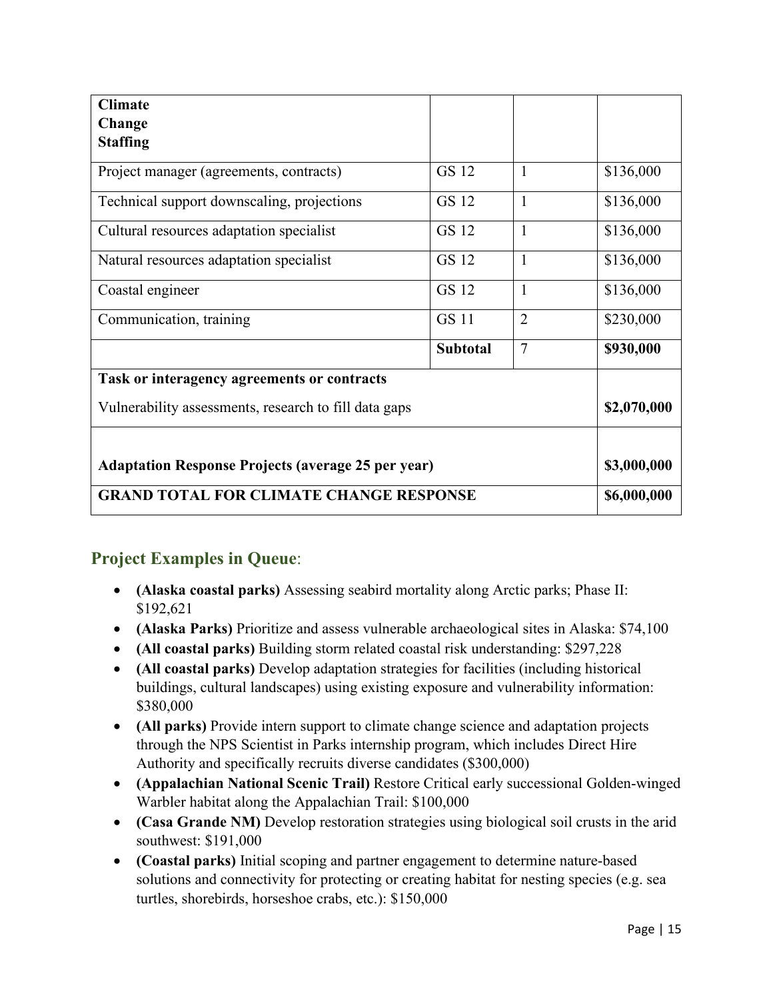| <b>Climate</b>                                            |                 |                |             |
|-----------------------------------------------------------|-----------------|----------------|-------------|
| Change<br><b>Staffing</b>                                 |                 |                |             |
|                                                           |                 |                |             |
| Project manager (agreements, contracts)                   | <b>GS 12</b>    | $\mathbf{1}$   | \$136,000   |
| Technical support downscaling, projections                | GS 12           | $\mathbf{1}$   | \$136,000   |
| Cultural resources adaptation specialist                  | GS 12           | $\mathbf{1}$   | \$136,000   |
| Natural resources adaptation specialist                   | GS 12           | $\overline{1}$ | \$136,000   |
| Coastal engineer                                          | GS 12           | $\mathbf{1}$   | \$136,000   |
| Communication, training                                   | <b>GS 11</b>    | $\overline{2}$ | \$230,000   |
|                                                           | <b>Subtotal</b> | 7              | \$930,000   |
| Task or interagency agreements or contracts               |                 |                |             |
| Vulnerability assessments, research to fill data gaps     |                 |                | \$2,070,000 |
|                                                           |                 |                |             |
| <b>Adaptation Response Projects (average 25 per year)</b> |                 |                | \$3,000,000 |
| <b>GRAND TOTAL FOR CLIMATE CHANGE RESPONSE</b>            |                 |                | \$6,000,000 |

#### **Project Examples in Queue**:

- **(Alaska coastal parks)** Assessing seabird mortality along Arctic parks; Phase II: \$192,621
- **(Alaska Parks)** Prioritize and assess vulnerable archaeological sites in Alaska: \$74,100
- **(All coastal parks)** Building storm related coastal risk understanding: \$297,228
- **(All coastal parks)** Develop adaptation strategies for facilities (including historical buildings, cultural landscapes) using existing exposure and vulnerability information: \$380,000
- **(All parks)** Provide intern support to climate change science and adaptation projects through the NPS Scientist in Parks internship program, which includes Direct Hire Authority and specifically recruits diverse candidates (\$300,000)
- **(Appalachian National Scenic Trail)** Restore Critical early successional Golden-winged Warbler habitat along the Appalachian Trail: \$100,000
- **(Casa Grande NM)** Develop restoration strategies using biological soil crusts in the arid southwest: \$191,000
- **(Coastal parks)** Initial scoping and partner engagement to determine nature-based solutions and connectivity for protecting or creating habitat for nesting species (e.g. sea turtles, shorebirds, horseshoe crabs, etc.): \$150,000